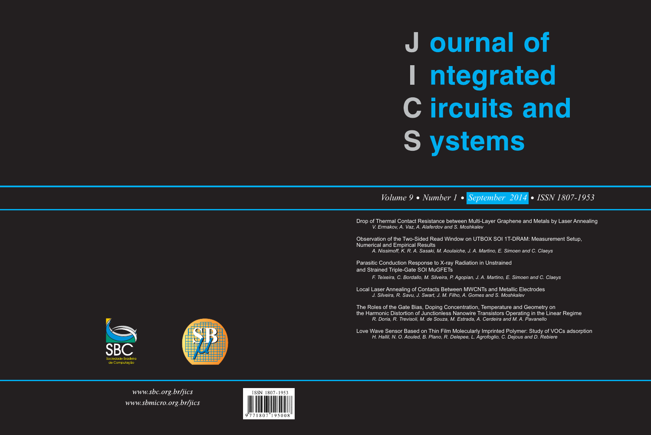# **J** ournal of I ntegrated **C** ircuits and **S** ystems

## *Volume 9 Number 1 September 2014 ISSN 1807-1953*

Drop of Thermal Contact Resistance between Multi-Layer Graphene and Metals by Laser Annealing *V. Ermakov, A. Vaz, A. Alaferdov and S. Moshkalev* 

Observation of the Two-Sided Read Window on UTBOX SOI 1T-DRAM: Measurement Setup, Numerical and Empirical Results

*A. Nissimoff, K. R. A. Sasaki, M. Aoulaiche, J. A. Martino, E. Simoen and C. Claeys* 

Parasitic Conduction Response to X-ray Radiation in Unstrained and Strained Triple-Gate SOI MuGFETs

*F. Teixeira, C. Bordallo, M. Silveira, P. Agopian, J. A. Martino, E. Simoen and C. Claeys* 

Local Laser Annealing of Contacts Between MWCNTs and Metallic Electrodes *J. Silveira, R. Savu, J. Swart, J. M. Filho, A. Gomes and S. Moshkalev* 

The Roles of the Gate Bias, Doping Concentration, Temperature and Geometry on the Harmonic Distortion of Junctionless Nanowire Transistors Operating in the Linear Regime *R. Doria, R. Trevisoli, M. de Souza, M. Estrada, A. Cerdeira and M. A. Pavanello* 

Love Wave Sensor Based on Thin Film Molecularly Imprinted Polymer: Study of VOCs adsorption *H. Hallil, N. O. Aouled, B. Plano, R. Delepee, L. Agrofoglio, C. Dejous and D. Rebiere*





www.sbc.org.br/jics www.sbmicro.org.br/jics

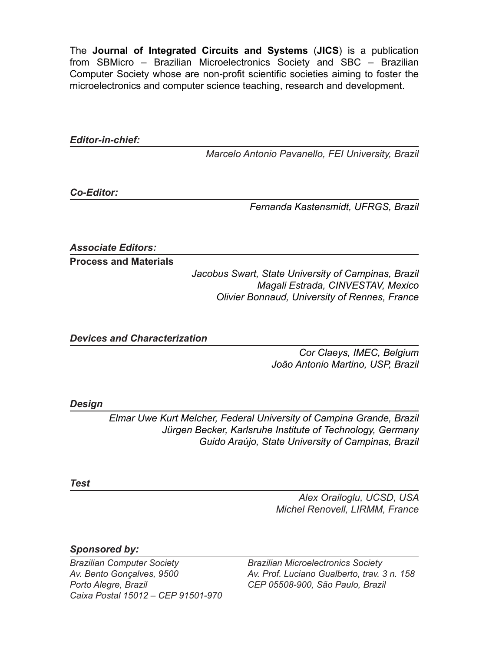The **Journal of Integrated Circuits and Systems** (**JICS**) is a publication from SBMicro – Brazilian Microelectronics Society and SBC – Brazilian Computer Society whose are non-profit scientific societies aiming to foster the microelectronics and computer science teaching, research and development.

*Editor-in-chief:*

*Marcelo Antonio Pavanello, FEI University, Brazil*

*Co-Editor:*

*Fernanda Kastensmidt, UFRGS, Brazil*

*Associate Editors:*

**Process and Materials** 

*Jacobus Swart, State University of Campinas, Brazil Magali Estrada, CINVESTAV, Mexico Olivier Bonnaud, University of Rennes, France*

*Devices and Characterization*

*Cor Claeys, IMEC, Belgium João Antonio Martino, USP, Brazil*

*Design*

*Elmar Uwe Kurt Melcher, Federal University of Campina Grande, Brazil Jürgen Becker, Karlsruhe Institute of Technology, Germany Guido Araújo, State University of Campinas, Brazil*

*Test*

*Alex Orailoglu, UCSD, USA Michel Renovell, LIRMM, France*

*Sponsored by:*

*Brazilian Computer Society Av. Bento Gonçalves, 9500 Porto Alegre, Brazil Caixa Postal 15012 – CEP 91501-970* *Brazilian Microelectronics Society Av. Prof. Luciano Gualberto, trav. 3 n. 158 CEP 05508-900, São Paulo, Brazil*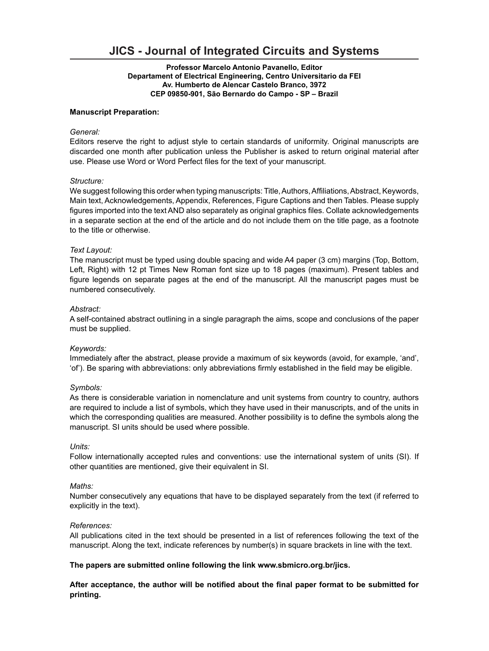### **JICS - Journal of Integrated Circuits and Systems**

#### **Professor Marcelo Antonio Pavanello, Editor Departament of Electrical Engineering, Centro Universitario da FEI Av. Humberto de Alencar Castelo Branco, 3972 CEP 09850-901, São Bernardo do Campo - SP – Brazil**

#### **Manuscript Preparation:**

#### *General:*

Editors reserve the right to adjust style to certain standards of uniformity. Original manuscripts are discarded one month after publication unless the Publisher is asked to return original material after use. Please use Word or Word Perfect files for the text of your manuscript.

#### *Structure:*

We suggest following this order when typing manuscripts: Title, Authors, Affiliations, Abstract, Keywords, Main text, Acknowledgements, Appendix, References, Figure Captions and then Tables. Please supply figures imported into the text AND also separately as original graphics files. Collate acknowledgements in a separate section at the end of the article and do not include them on the title page, as a footnote to the title or otherwise.

#### *Text Layout:*

The manuscript must be typed using double spacing and wide A4 paper (3 cm) margins (Top, Bottom, Left, Right) with 12 pt Times New Roman font size up to 18 pages (maximum). Present tables and figure legends on separate pages at the end of the manuscript. All the manuscript pages must be numbered consecutively.

#### *Abstract:*

A self-contained abstract outlining in a single paragraph the aims, scope and conclusions of the paper must be supplied.

#### *Keywords:*

Immediately after the abstract, please provide a maximum of six keywords (avoid, for example, 'and', 'of'). Be sparing with abbreviations: only abbreviations firmly established in the field may be eligible.

#### *Symbols:*

As there is considerable variation in nomenclature and unit systems from country to country, authors are required to include a list of symbols, which they have used in their manuscripts, and of the units in which the corresponding qualities are measured. Another possibility is to define the symbols along the manuscript. SI units should be used where possible.

#### *Units:*

Follow internationally accepted rules and conventions: use the international system of units (SI). If other quantities are mentioned, give their equivalent in SI.

#### *Maths:*

Number consecutively any equations that have to be displayed separately from the text (if referred to explicitly in the text).

#### *References:*

All publications cited in the text should be presented in a list of references following the text of the manuscript. Along the text, indicate references by number(s) in square brackets in line with the text.

#### **The papers are submitted online following the link www.sbmicro.org.br/jics.**

**After acceptance, the author will be notified about the final paper format to be submitted for printing.**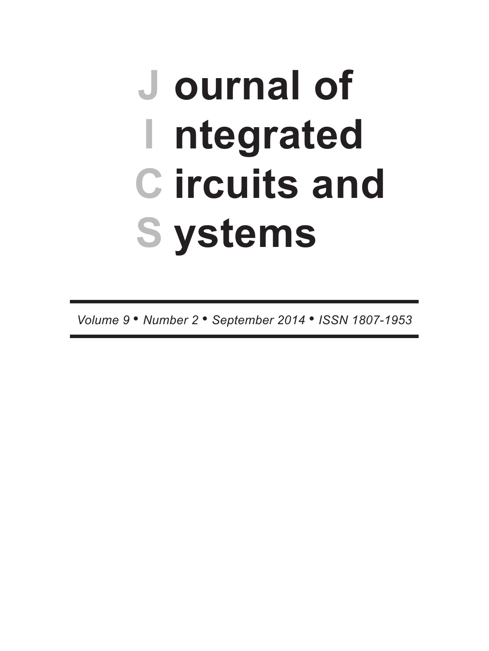## J ournal of I ntegrated **C** ircuits and **S** ystems

Volume 9 . Number 2 . September 2014 . ISSN 1807-1953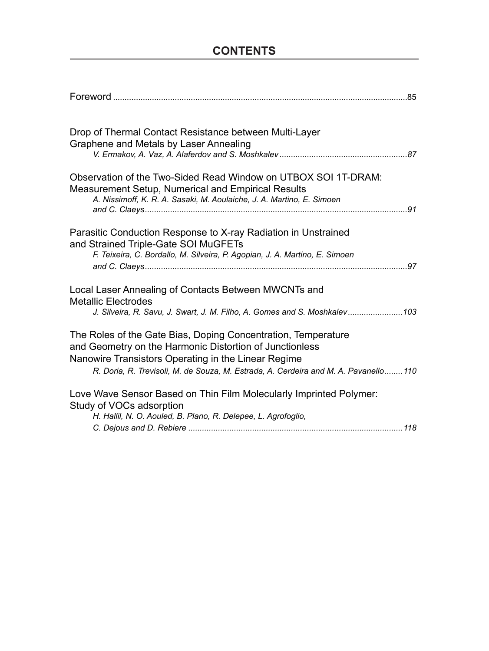### **CONTENTS**

| Drop of Thermal Contact Resistance between Multi-Layer                                                                      |  |
|-----------------------------------------------------------------------------------------------------------------------------|--|
| Graphene and Metals by Laser Annealing                                                                                      |  |
|                                                                                                                             |  |
| Observation of the Two-Sided Read Window on UTBOX SOI 1T-DRAM:                                                              |  |
| Measurement Setup, Numerical and Empirical Results<br>A. Nissimoff, K. R. A. Sasaki, M. Aoulaiche, J. A. Martino, E. Simoen |  |
|                                                                                                                             |  |
| Parasitic Conduction Response to X-ray Radiation in Unstrained                                                              |  |
| and Strained Triple-Gate SOI MuGFETs                                                                                        |  |
| F. Teixeira, C. Bordallo, M. Silveira, P. Agopian, J. A. Martino, E. Simoen                                                 |  |
|                                                                                                                             |  |
| Local Laser Annealing of Contacts Between MWCNTs and                                                                        |  |
| <b>Metallic Electrodes</b><br>J. Silveira, R. Savu, J. Swart, J. M. Filho, A. Gomes and S. Moshkalev 103                    |  |
|                                                                                                                             |  |
| The Roles of the Gate Bias, Doping Concentration, Temperature<br>and Geometry on the Harmonic Distortion of Junctionless    |  |
| Nanowire Transistors Operating in the Linear Regime                                                                         |  |
| R. Doria, R. Trevisoli, M. de Souza, M. Estrada, A. Cerdeira and M. A. Pavanello 110                                        |  |
| Love Wave Sensor Based on Thin Film Molecularly Imprinted Polymer:                                                          |  |
| Study of VOCs adsorption                                                                                                    |  |
| H. Hallil, N. O. Aouled, B. Plano, R. Delepee, L. Agrofoglio,                                                               |  |
|                                                                                                                             |  |